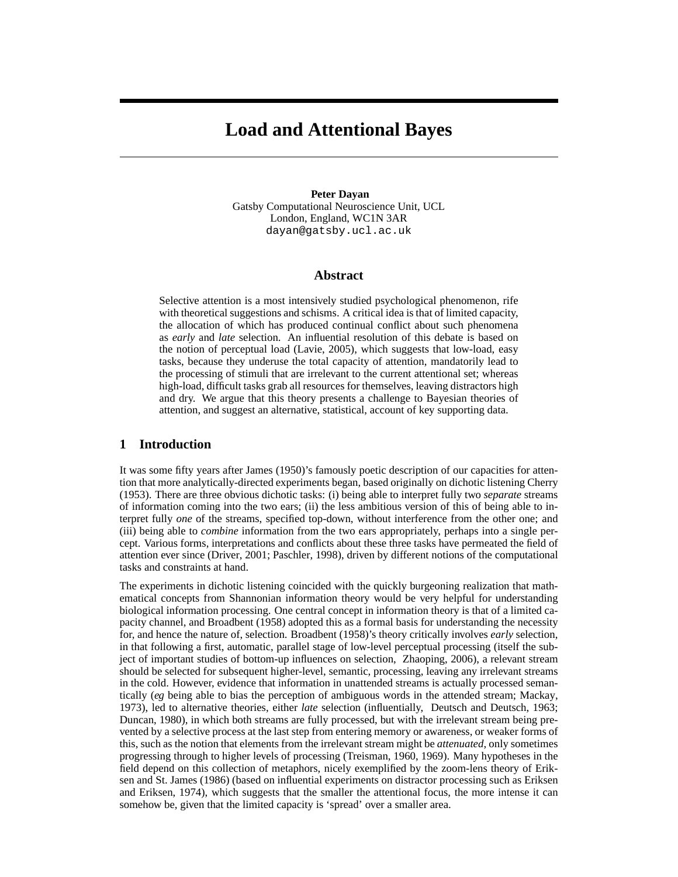# **Load and Attentional Bayes**

#### **Peter Dayan**

Gatsby Computational Neuroscience Unit, UCL London, England, WC1N 3AR dayan@gatsby.ucl.ac.uk

## **Abstract**

Selective attention is a most intensively studied psychological phenomenon, rife with theoretical suggestions and schisms. A critical idea is that of limited capacity, the allocation of which has produced continual conflict about such phenomena as *early* and *late* selection. An influential resolution of this debate is based on the notion of perceptual load (Lavie, 2005), which suggests that low-load, easy tasks, because they underuse the total capacity of attention, mandatorily lead to the processing of stimuli that are irrelevant to the current attentional set; whereas high-load, difficult tasks grab all resources for themselves, leaving distractors high and dry. We argue that this theory presents a challenge to Bayesian theories of attention, and suggest an alternative, statistical, account of key supporting data.

## **1 Introduction**

It was some fifty years after James (1950)'s famously poetic description of our capacities for attention that more analytically-directed experiments began, based originally on dichotic listening Cherry (1953). There are three obvious dichotic tasks: (i) being able to interpret fully two *separate* streams of information coming into the two ears; (ii) the less ambitious version of this of being able to interpret fully *one* of the streams, specified top-down, without interference from the other one; and (iii) being able to *combine* information from the two ears appropriately, perhaps into a single percept. Various forms, interpretations and conflicts about these three tasks have permeated the field of attention ever since (Driver, 2001; Paschler, 1998), driven by different notions of the computational tasks and constraints at hand.

The experiments in dichotic listening coincided with the quickly burgeoning realization that mathematical concepts from Shannonian information theory would be very helpful for understanding biological information processing. One central concept in information theory is that of a limited capacity channel, and Broadbent (1958) adopted this as a formal basis for understanding the necessity for, and hence the nature of, selection. Broadbent (1958)'s theory critically involves *early* selection, in that following a first, automatic, parallel stage of low-level perceptual processing (itself the subject of important studies of bottom-up influences on selection, Zhaoping, 2006), a relevant stream should be selected for subsequent higher-level, semantic, processing, leaving any irrelevant streams in the cold. However, evidence that information in unattended streams is actually processed semantically (*eg* being able to bias the perception of ambiguous words in the attended stream; Mackay, 1973), led to alternative theories, either *late* selection (influentially, Deutsch and Deutsch, 1963; Duncan, 1980), in which both streams are fully processed, but with the irrelevant stream being prevented by a selective process at the last step from entering memory or awareness, or weaker forms of this, such as the notion that elements from the irrelevant stream might be *attenuated*, only sometimes progressing through to higher levels of processing (Treisman, 1960, 1969). Many hypotheses in the field depend on this collection of metaphors, nicely exemplified by the zoom-lens theory of Eriksen and St. James (1986) (based on influential experiments on distractor processing such as Eriksen and Eriksen, 1974), which suggests that the smaller the attentional focus, the more intense it can somehow be, given that the limited capacity is 'spread' over a smaller area.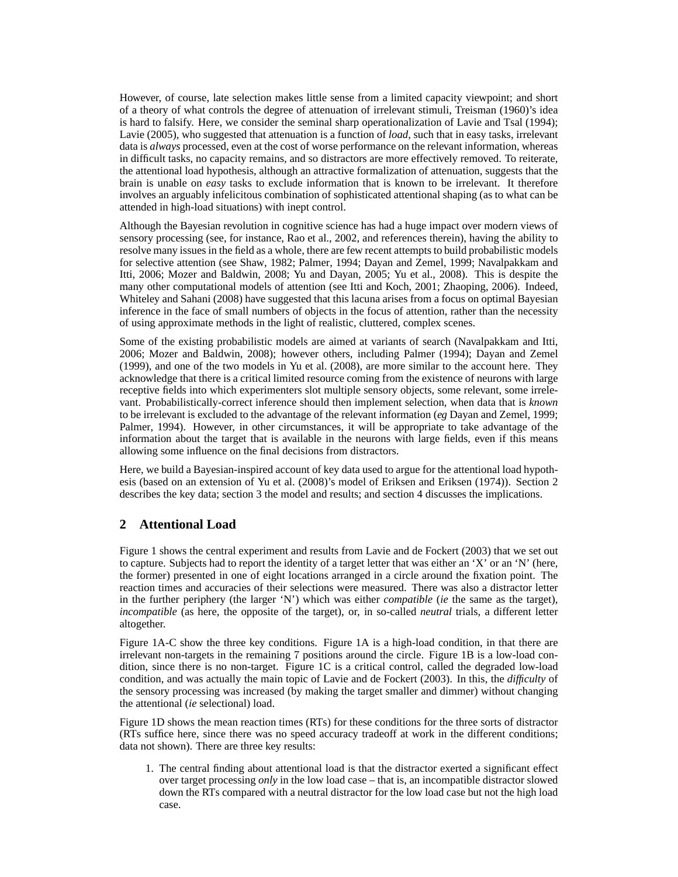However, of course, late selection makes little sense from a limited capacity viewpoint; and short of a theory of what controls the degree of attenuation of irrelevant stimuli, Treisman (1960)'s idea is hard to falsify. Here, we consider the seminal sharp operationalization of Lavie and Tsal (1994); Lavie (2005), who suggested that attenuation is a function of *load*, such that in easy tasks, irrelevant data is *always* processed, even at the cost of worse performance on the relevant information, whereas in difficult tasks, no capacity remains, and so distractors are more effectively removed. To reiterate, the attentional load hypothesis, although an attractive formalization of attenuation, suggests that the brain is unable on *easy* tasks to exclude information that is known to be irrelevant. It therefore involves an arguably infelicitous combination of sophisticated attentional shaping (as to what can be attended in high-load situations) with inept control.

Although the Bayesian revolution in cognitive science has had a huge impact over modern views of sensory processing (see, for instance, Rao et al., 2002, and references therein), having the ability to resolve many issues in the field as a whole, there are few recent attempts to build probabilistic models for selective attention (see Shaw, 1982; Palmer, 1994; Dayan and Zemel, 1999; Navalpakkam and Itti, 2006; Mozer and Baldwin, 2008; Yu and Dayan, 2005; Yu et al., 2008). This is despite the many other computational models of attention (see Itti and Koch, 2001; Zhaoping, 2006). Indeed, Whiteley and Sahani (2008) have suggested that this lacuna arises from a focus on optimal Bayesian inference in the face of small numbers of objects in the focus of attention, rather than the necessity of using approximate methods in the light of realistic, cluttered, complex scenes.

Some of the existing probabilistic models are aimed at variants of search (Navalpakkam and Itti, 2006; Mozer and Baldwin, 2008); however others, including Palmer (1994); Dayan and Zemel (1999), and one of the two models in Yu et al. (2008), are more similar to the account here. They acknowledge that there is a critical limited resource coming from the existence of neurons with large receptive fields into which experimenters slot multiple sensory objects, some relevant, some irrelevant. Probabilistically-correct inference should then implement selection, when data that is *known* to be irrelevant is excluded to the advantage of the relevant information (*eg* Dayan and Zemel, 1999; Palmer, 1994). However, in other circumstances, it will be appropriate to take advantage of the information about the target that is available in the neurons with large fields, even if this means allowing some influence on the final decisions from distractors.

Here, we build a Bayesian-inspired account of key data used to argue for the attentional load hypothesis (based on an extension of Yu et al. (2008)'s model of Eriksen and Eriksen (1974)). Section 2 describes the key data; section 3 the model and results; and section 4 discusses the implications.

# **2 Attentional Load**

Figure 1 shows the central experiment and results from Lavie and de Fockert (2003) that we set out to capture. Subjects had to report the identity of a target letter that was either an 'X' or an 'N' (here, the former) presented in one of eight locations arranged in a circle around the fixation point. The reaction times and accuracies of their selections were measured. There was also a distractor letter in the further periphery (the larger 'N') which was either *compatible* (*ie* the same as the target), *incompatible* (as here, the opposite of the target), or, in so-called *neutral* trials, a different letter altogether.

Figure 1A-C show the three key conditions. Figure 1A is a high-load condition, in that there are irrelevant non-targets in the remaining 7 positions around the circle. Figure 1B is a low-load condition, since there is no non-target. Figure 1C is a critical control, called the degraded low-load condition, and was actually the main topic of Lavie and de Fockert (2003). In this, the *difficulty* of the sensory processing was increased (by making the target smaller and dimmer) without changing the attentional (*ie* selectional) load.

Figure 1D shows the mean reaction times (RTs) for these conditions for the three sorts of distractor (RTs suffice here, since there was no speed accuracy tradeoff at work in the different conditions; data not shown). There are three key results:

1. The central finding about attentional load is that the distractor exerted a significant effect over target processing *only* in the low load case – that is, an incompatible distractor slowed down the RTs compared with a neutral distractor for the low load case but not the high load case.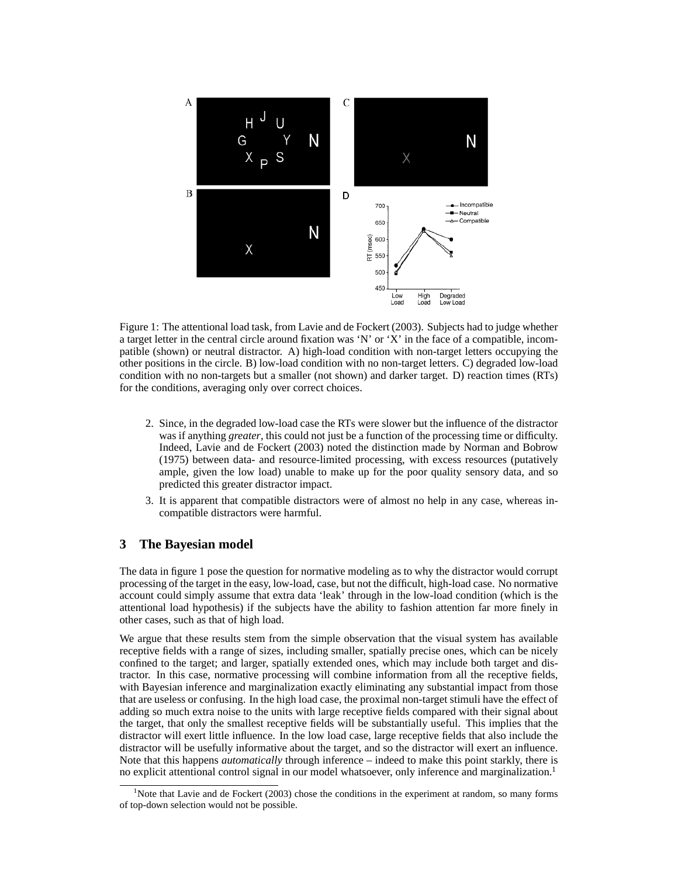

Figure 1: The attentional load task, from Lavie and de Fockert (2003). Subjects had to judge whether a target letter in the central circle around fixation was 'N' or 'X' in the face of a compatible, incompatible (shown) or neutral distractor. A) high-load condition with non-target letters occupying the other positions in the circle. B) low-load condition with no non-target letters. C) degraded low-load condition with no non-targets but a smaller (not shown) and darker target. D) reaction times (RTs) for the conditions, averaging only over correct choices.

- 2. Since, in the degraded low-load case the RTs were slower but the influence of the distractor was if anything *greater*, this could not just be a function of the processing time or difficulty. Indeed, Lavie and de Fockert (2003) noted the distinction made by Norman and Bobrow (1975) between data- and resource-limited processing, with excess resources (putatively ample, given the low load) unable to make up for the poor quality sensory data, and so predicted this greater distractor impact.
- 3. It is apparent that compatible distractors were of almost no help in any case, whereas incompatible distractors were harmful.

# **3 The Bayesian model**

The data in figure 1 pose the question for normative modeling as to why the distractor would corrupt processing of the target in the easy, low-load, case, but not the difficult, high-load case. No normative account could simply assume that extra data 'leak' through in the low-load condition (which is the attentional load hypothesis) if the subjects have the ability to fashion attention far more finely in other cases, such as that of high load.

We argue that these results stem from the simple observation that the visual system has available receptive fields with a range of sizes, including smaller, spatially precise ones, which can be nicely confined to the target; and larger, spatially extended ones, which may include both target and distractor. In this case, normative processing will combine information from all the receptive fields, with Bayesian inference and marginalization exactly eliminating any substantial impact from those that are useless or confusing. In the high load case, the proximal non-target stimuli have the effect of adding so much extra noise to the units with large receptive fields compared with their signal about the target, that only the smallest receptive fields will be substantially useful. This implies that the distractor will exert little influence. In the low load case, large receptive fields that also include the distractor will be usefully informative about the target, and so the distractor will exert an influence. Note that this happens *automatically* through inference – indeed to make this point starkly, there is no explicit attentional control signal in our model whatsoever, only inference and marginalization.<sup>1</sup>

<sup>&</sup>lt;sup>1</sup>Note that Lavie and de Fockert (2003) chose the conditions in the experiment at random, so many forms of top-down selection would not be possible.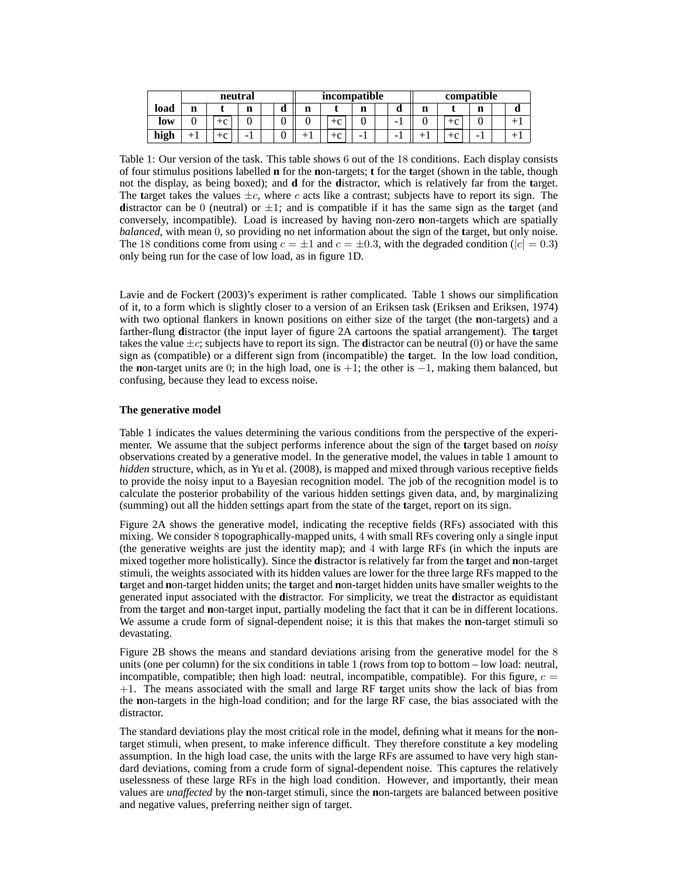|      | neutral |                 |   |   | incompatible |   |  |             |   | compatible |       |  |   |  |
|------|---------|-----------------|---|---|--------------|---|--|-------------|---|------------|-------|--|---|--|
| load | n       |                 | n | u |              | n |  | $\mathbf a$ | n |            | m<br> |  | u |  |
| low  |         | $\sqrt{2}$<br>◡ |   |   |              |   |  |             |   | $+c$       |       |  |   |  |
| high |         | $\sim$          | - |   | $\sqrt{2}$   | - |  |             |   | $+c$       | -     |  |   |  |

Table 1: Our version of the task. This table shows 6 out of the 18 conditions. Each display consists of four stimulus positions labelled **n** for the **n**on-targets; **t** for the **t**arget (shown in the table, though not the display, as being boxed); and **d** for the **d**istractor, which is relatively far from the **t**arget. The **t**arget takes the values  $\pm c$ , where c acts like a contrast; subjects have to report its sign. The **d**istractor can be 0 (neutral) or  $\pm 1$ ; and is compatible if it has the same sign as the **t**arget (and conversely, incompatible). Load is increased by having non-zero **n**on-targets which are spatially *balanced*, with mean 0, so providing no net information about the sign of the **t**arget, but only noise. The 18 conditions come from using  $c = \pm 1$  and  $c = \pm 0.3$ , with the degraded condition ( $|c| = 0.3$ ) only being run for the case of low load, as in figure 1D.

Lavie and de Fockert (2003)'s experiment is rather complicated. Table 1 shows our simplification of it, to a form which is slightly closer to a version of an Eriksen task (Eriksen and Eriksen, 1974) with two optional flankers in known positions on either size of the target (the **n**on-targets) and a farther-flung **d**istractor (the input layer of figure 2A cartoons the spatial arrangement). The **t**arget takes the value  $\pm c$ ; subjects have to report its sign. The **d**istractor can be neutral (0) or have the same sign as (compatible) or a different sign from (incompatible) the **t**arget. In the low load condition, the **n**on-target units are 0; in the high load, one is  $+1$ ; the other is  $-1$ , making them balanced, but confusing, because they lead to excess noise.

### **The generative model**

Table 1 indicates the values determining the various conditions from the perspective of the experimenter. We assume that the subject performs inference about the sign of the **t**arget based on *noisy* observations created by a generative model. In the generative model, the values in table 1 amount to *hidden* structure, which, as in Yu et al. (2008), is mapped and mixed through various receptive fields to provide the noisy input to a Bayesian recognition model. The job of the recognition model is to calculate the posterior probability of the various hidden settings given data, and, by marginalizing (summing) out all the hidden settings apart from the state of the **t**arget, report on its sign.

Figure 2A shows the generative model, indicating the receptive fields (RFs) associated with this mixing. We consider 8 topographically-mapped units, 4 with small RFs covering only a single input (the generative weights are just the identity map); and 4 with large RFs (in which the inputs are mixed together more holistically). Since the **d**istractor is relatively far from the **t**arget and **n**on-target stimuli, the weights associated with its hidden values are lower for the three large RFs mapped to the **t**arget and **n**on-target hidden units; the **t**arget and **n**on-target hidden units have smaller weights to the generated input associated with the **d**istractor. For simplicity, we treat the **d**istractor as equidistant from the **t**arget and **n**on-target input, partially modeling the fact that it can be in different locations. We assume a crude form of signal-dependent noise; it is this that makes the **n**on-target stimuli so devastating.

Figure 2B shows the means and standard deviations arising from the generative model for the 8 units (one per column) for the six conditions in table 1 (rows from top to bottom – low load: neutral, incompatible, compatible; then high load: neutral, incompatible, compatible). For this figure,  $c =$ +1. The means associated with the small and large RF **t**arget units show the lack of bias from the **n**on-targets in the high-load condition; and for the large RF case, the bias associated with the distractor.

The standard deviations play the most critical role in the model, defining what it means for the **n**ontarget stimuli, when present, to make inference difficult. They therefore constitute a key modeling assumption. In the high load case, the units with the large RFs are assumed to have very high standard deviations, coming from a crude form of signal-dependent noise. This captures the relatively uselessness of these large RFs in the high load condition. However, and importantly, their mean values are *unaffected* by the **n**on-target stimuli, since the **n**on-targets are balanced between positive and negative values, preferring neither sign of target.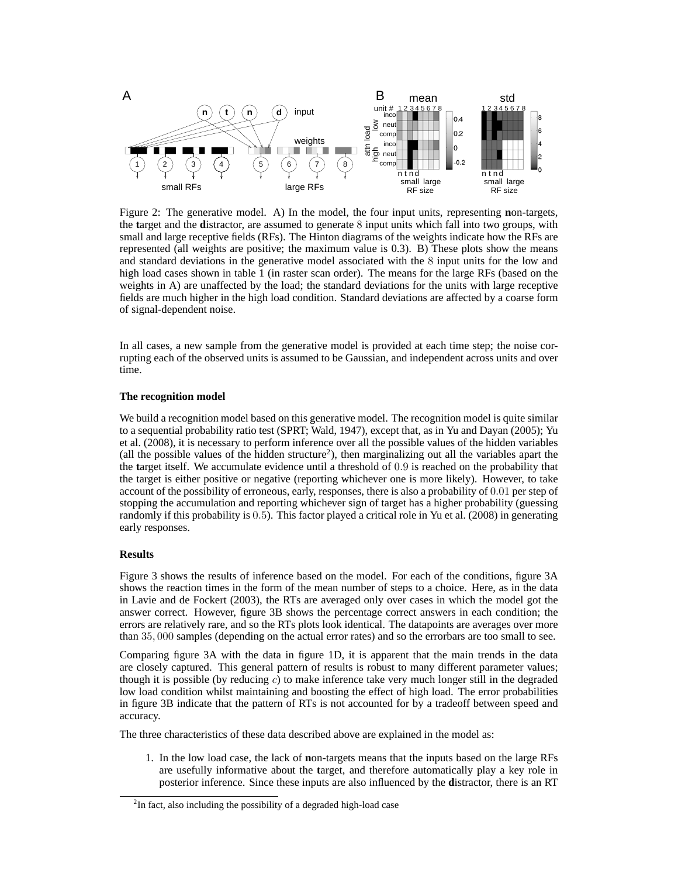

Figure 2: The generative model. A) In the model, the four input units, representing **n**on-targets, the **t**arget and the **d**istractor, are assumed to generate 8 input units which fall into two groups, with small and large receptive fields (RFs). The Hinton diagrams of the weights indicate how the RFs are represented (all weights are positive; the maximum value is 0.3). B) These plots show the means and standard deviations in the generative model associated with the 8 input units for the low and high load cases shown in table 1 (in raster scan order). The means for the large RFs (based on the weights in A) are unaffected by the load; the standard deviations for the units with large receptive fields are much higher in the high load condition. Standard deviations are affected by a coarse form of signal-dependent noise.

In all cases, a new sample from the generative model is provided at each time step; the noise corrupting each of the observed units is assumed to be Gaussian, and independent across units and over time.

#### **The recognition model**

We build a recognition model based on this generative model. The recognition model is quite similar to a sequential probability ratio test (SPRT; Wald, 1947), except that, as in Yu and Dayan (2005); Yu et al. (2008), it is necessary to perform inference over all the possible values of the hidden variables (all the possible values of the hidden structure<sup>2</sup>), then marginalizing out all the variables apart the the **t**arget itself. We accumulate evidence until a threshold of 0.9 is reached on the probability that the target is either positive or negative (reporting whichever one is more likely). However, to take account of the possibility of erroneous, early, responses, there is also a probability of 0.01 per step of stopping the accumulation and reporting whichever sign of target has a higher probability (guessing randomly if this probability is 0.5). This factor played a critical role in Yu et al. (2008) in generating early responses.

#### **Results**

Figure 3 shows the results of inference based on the model. For each of the conditions, figure 3A shows the reaction times in the form of the mean number of steps to a choice. Here, as in the data in Lavie and de Fockert (2003), the RTs are averaged only over cases in which the model got the answer correct. However, figure 3B shows the percentage correct answers in each condition; the errors are relatively rare, and so the RTs plots look identical. The datapoints are averages over more than 35, 000 samples (depending on the actual error rates) and so the errorbars are too small to see.

Comparing figure 3A with the data in figure 1D, it is apparent that the main trends in the data are closely captured. This general pattern of results is robust to many different parameter values; though it is possible (by reducing  $c$ ) to make inference take very much longer still in the degraded low load condition whilst maintaining and boosting the effect of high load. The error probabilities in figure 3B indicate that the pattern of RTs is not accounted for by a tradeoff between speed and accuracy.

The three characteristics of these data described above are explained in the model as:

1. In the low load case, the lack of **n**on-targets means that the inputs based on the large RFs are usefully informative about the **t**arget, and therefore automatically play a key role in posterior inference. Since these inputs are also influenced by the **d**istractor, there is an RT

 $2$ In fact, also including the possibility of a degraded high-load case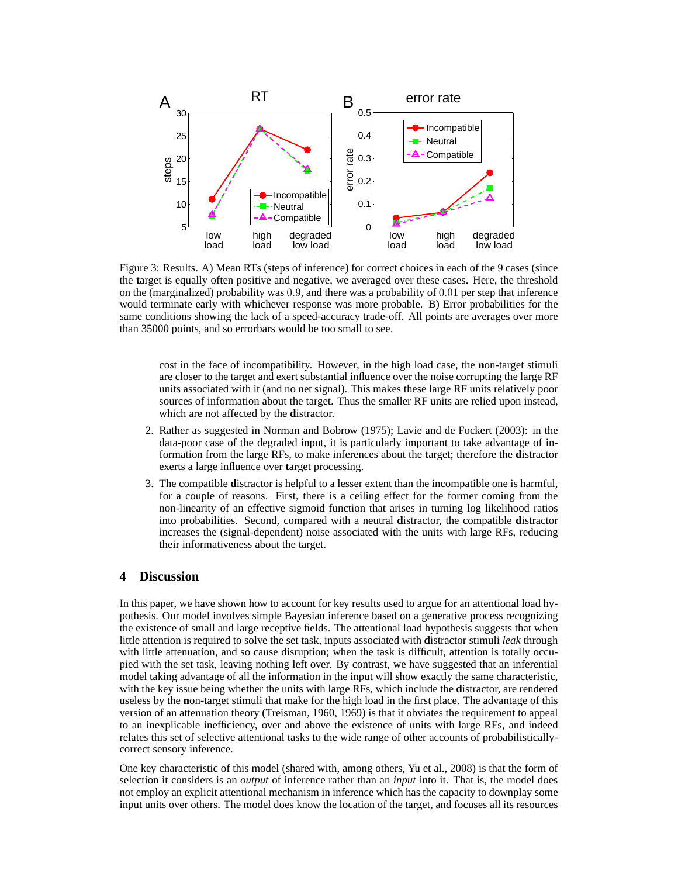

Figure 3: Results. A) Mean RTs (steps of inference) for correct choices in each of the 9 cases (since the **t**arget is equally often positive and negative, we averaged over these cases. Here, the threshold on the (marginalized) probability was 0.9, and there was a probability of 0.01 per step that inference would terminate early with whichever response was more probable. B) Error probabilities for the same conditions showing the lack of a speed-accuracy trade-off. All points are averages over more than 35000 points, and so errorbars would be too small to see.

cost in the face of incompatibility. However, in the high load case, the **n**on-target stimuli are closer to the target and exert substantial influence over the noise corrupting the large RF units associated with it (and no net signal). This makes these large RF units relatively poor sources of information about the target. Thus the smaller RF units are relied upon instead, which are not affected by the **d**istractor.

- 2. Rather as suggested in Norman and Bobrow (1975); Lavie and de Fockert (2003): in the data-poor case of the degraded input, it is particularly important to take advantage of information from the large RFs, to make inferences about the **t**arget; therefore the **d**istractor exerts a large influence over **t**arget processing.
- 3. The compatible **d**istractor is helpful to a lesser extent than the incompatible one is harmful, for a couple of reasons. First, there is a ceiling effect for the former coming from the non-linearity of an effective sigmoid function that arises in turning log likelihood ratios into probabilities. Second, compared with a neutral **d**istractor, the compatible **d**istractor increases the (signal-dependent) noise associated with the units with large RFs, reducing their informativeness about the target.

## **4 Discussion**

In this paper, we have shown how to account for key results used to argue for an attentional load hypothesis. Our model involves simple Bayesian inference based on a generative process recognizing the existence of small and large receptive fields. The attentional load hypothesis suggests that when little attention is required to solve the set task, inputs associated with **d**istractor stimuli *leak* through with little attenuation, and so cause disruption; when the task is difficult, attention is totally occupied with the set task, leaving nothing left over. By contrast, we have suggested that an inferential model taking advantage of all the information in the input will show exactly the same characteristic, with the key issue being whether the units with large RFs, which include the **d**istractor, are rendered useless by the **n**on-target stimuli that make for the high load in the first place. The advantage of this version of an attenuation theory (Treisman, 1960, 1969) is that it obviates the requirement to appeal to an inexplicable inefficiency, over and above the existence of units with large RFs, and indeed relates this set of selective attentional tasks to the wide range of other accounts of probabilisticallycorrect sensory inference.

One key characteristic of this model (shared with, among others, Yu et al., 2008) is that the form of selection it considers is an *output* of inference rather than an *input* into it. That is, the model does not employ an explicit attentional mechanism in inference which has the capacity to downplay some input units over others. The model does know the location of the target, and focuses all its resources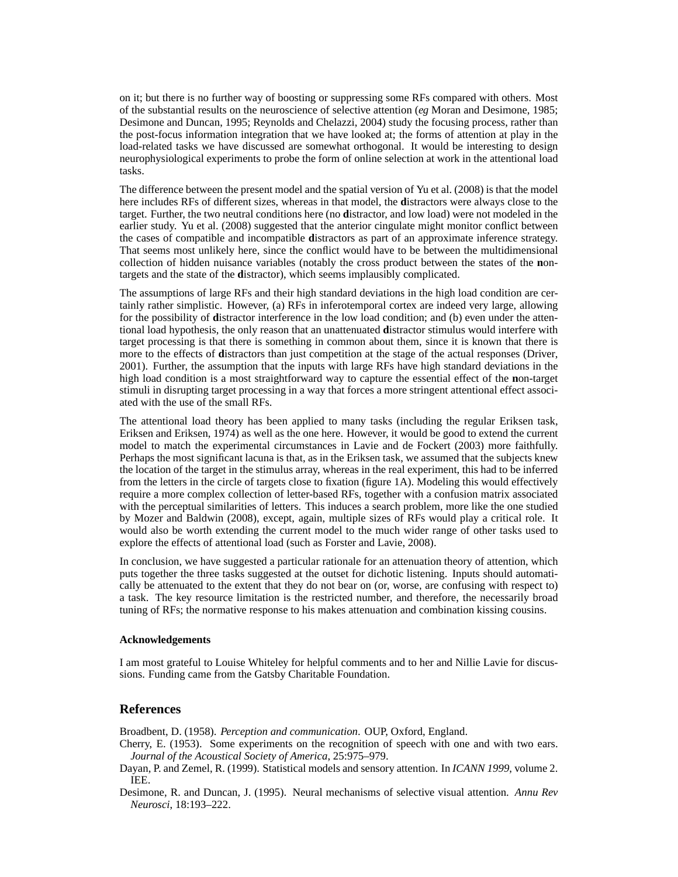on it; but there is no further way of boosting or suppressing some RFs compared with others. Most of the substantial results on the neuroscience of selective attention (*eg* Moran and Desimone, 1985; Desimone and Duncan, 1995; Reynolds and Chelazzi, 2004) study the focusing process, rather than the post-focus information integration that we have looked at; the forms of attention at play in the load-related tasks we have discussed are somewhat orthogonal. It would be interesting to design neurophysiological experiments to probe the form of online selection at work in the attentional load tasks.

The difference between the present model and the spatial version of Yu et al. (2008) is that the model here includes RFs of different sizes, whereas in that model, the **d**istractors were always close to the target. Further, the two neutral conditions here (no **d**istractor, and low load) were not modeled in the earlier study. Yu et al. (2008) suggested that the anterior cingulate might monitor conflict between the cases of compatible and incompatible **d**istractors as part of an approximate inference strategy. That seems most unlikely here, since the conflict would have to be between the multidimensional collection of hidden nuisance variables (notably the cross product between the states of the **n**ontargets and the state of the **d**istractor), which seems implausibly complicated.

The assumptions of large RFs and their high standard deviations in the high load condition are certainly rather simplistic. However, (a) RFs in inferotemporal cortex are indeed very large, allowing for the possibility of **d**istractor interference in the low load condition; and (b) even under the attentional load hypothesis, the only reason that an unattenuated **d**istractor stimulus would interfere with target processing is that there is something in common about them, since it is known that there is more to the effects of **d**istractors than just competition at the stage of the actual responses (Driver, 2001). Further, the assumption that the inputs with large RFs have high standard deviations in the high load condition is a most straightforward way to capture the essential effect of the **n**on-target stimuli in disrupting target processing in a way that forces a more stringent attentional effect associated with the use of the small RFs.

The attentional load theory has been applied to many tasks (including the regular Eriksen task, Eriksen and Eriksen, 1974) as well as the one here. However, it would be good to extend the current model to match the experimental circumstances in Lavie and de Fockert (2003) more faithfully. Perhaps the most significant lacuna is that, as in the Eriksen task, we assumed that the subjects knew the location of the target in the stimulus array, whereas in the real experiment, this had to be inferred from the letters in the circle of targets close to fixation (figure 1A). Modeling this would effectively require a more complex collection of letter-based RFs, together with a confusion matrix associated with the perceptual similarities of letters. This induces a search problem, more like the one studied by Mozer and Baldwin (2008), except, again, multiple sizes of RFs would play a critical role. It would also be worth extending the current model to the much wider range of other tasks used to explore the effects of attentional load (such as Forster and Lavie, 2008).

In conclusion, we have suggested a particular rationale for an attenuation theory of attention, which puts together the three tasks suggested at the outset for dichotic listening. Inputs should automatically be attenuated to the extent that they do not bear on (or, worse, are confusing with respect to) a task. The key resource limitation is the restricted number, and therefore, the necessarily broad tuning of RFs; the normative response to his makes attenuation and combination kissing cousins.

#### **Acknowledgements**

I am most grateful to Louise Whiteley for helpful comments and to her and Nillie Lavie for discussions. Funding came from the Gatsby Charitable Foundation.

## **References**

Broadbent, D. (1958). *Perception and communication*. OUP, Oxford, England.

- Cherry, E. (1953). Some experiments on the recognition of speech with one and with two ears. *Journal of the Acoustical Society of America*, 25:975–979.
- Dayan, P. and Zemel, R. (1999). Statistical models and sensory attention. In *ICANN 1999*, volume 2. IEE.
- Desimone, R. and Duncan, J. (1995). Neural mechanisms of selective visual attention. *Annu Rev Neurosci*, 18:193–222.